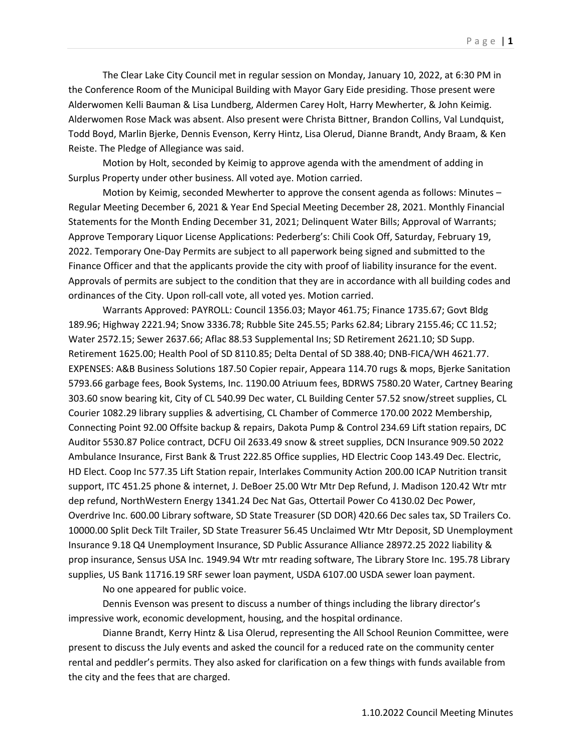The Clear Lake City Council met in regular session on Monday, January 10, 2022, at 6:30 PM in the Conference Room of the Municipal Building with Mayor Gary Eide presiding. Those present were Alderwomen Kelli Bauman & Lisa Lundberg, Aldermen Carey Holt, Harry Mewherter, & John Keimig. Alderwomen Rose Mack was absent. Also present were Christa Bittner, Brandon Collins, Val Lundquist, Todd Boyd, Marlin Bjerke, Dennis Evenson, Kerry Hintz, Lisa Olerud, Dianne Brandt, Andy Braam, & Ken Reiste. The Pledge of Allegiance was said.

Motion by Holt, seconded by Keimig to approve agenda with the amendment of adding in Surplus Property under other business. All voted aye. Motion carried.

Motion by Keimig, seconded Mewherter to approve the consent agenda as follows: Minutes – Regular Meeting December 6, 2021 & Year End Special Meeting December 28, 2021. Monthly Financial Statements for the Month Ending December 31, 2021; Delinquent Water Bills; Approval of Warrants; Approve Temporary Liquor License Applications: Pederberg's: Chili Cook Off, Saturday, February 19, 2022. Temporary One-Day Permits are subject to all paperwork being signed and submitted to the Finance Officer and that the applicants provide the city with proof of liability insurance for the event. Approvals of permits are subject to the condition that they are in accordance with all building codes and ordinances of the City. Upon roll-call vote, all voted yes. Motion carried.

Warrants Approved: PAYROLL: Council 1356.03; Mayor 461.75; Finance 1735.67; Govt Bldg 189.96; Highway 2221.94; Snow 3336.78; Rubble Site 245.55; Parks 62.84; Library 2155.46; CC 11.52; Water 2572.15; Sewer 2637.66; Aflac 88.53 Supplemental Ins; SD Retirement 2621.10; SD Supp. Retirement 1625.00; Health Pool of SD 8110.85; Delta Dental of SD 388.40; DNB-FICA/WH 4621.77. EXPENSES: A&B Business Solutions 187.50 Copier repair, Appeara 114.70 rugs & mops, Bjerke Sanitation 5793.66 garbage fees, Book Systems, Inc. 1190.00 Atriuum fees, BDRWS 7580.20 Water, Cartney Bearing 303.60 snow bearing kit, City of CL 540.99 Dec water, CL Building Center 57.52 snow/street supplies, CL Courier 1082.29 library supplies & advertising, CL Chamber of Commerce 170.00 2022 Membership, Connecting Point 92.00 Offsite backup & repairs, Dakota Pump & Control 234.69 Lift station repairs, DC Auditor 5530.87 Police contract, DCFU Oil 2633.49 snow & street supplies, DCN Insurance 909.50 2022 Ambulance Insurance, First Bank & Trust 222.85 Office supplies, HD Electric Coop 143.49 Dec. Electric, HD Elect. Coop Inc 577.35 Lift Station repair, Interlakes Community Action 200.00 ICAP Nutrition transit support, ITC 451.25 phone & internet, J. DeBoer 25.00 Wtr Mtr Dep Refund, J. Madison 120.42 Wtr mtr dep refund, NorthWestern Energy 1341.24 Dec Nat Gas, Ottertail Power Co 4130.02 Dec Power, Overdrive Inc. 600.00 Library software, SD State Treasurer (SD DOR) 420.66 Dec sales tax, SD Trailers Co. 10000.00 Split Deck Tilt Trailer, SD State Treasurer 56.45 Unclaimed Wtr Mtr Deposit, SD Unemployment Insurance 9.18 Q4 Unemployment Insurance, SD Public Assurance Alliance 28972.25 2022 liability & prop insurance, Sensus USA Inc. 1949.94 Wtr mtr reading software, The Library Store Inc. 195.78 Library supplies, US Bank 11716.19 SRF sewer loan payment, USDA 6107.00 USDA sewer loan payment.

No one appeared for public voice.

Dennis Evenson was present to discuss a number of things including the library director's impressive work, economic development, housing, and the hospital ordinance.

Dianne Brandt, Kerry Hintz & Lisa Olerud, representing the All School Reunion Committee, were present to discuss the July events and asked the council for a reduced rate on the community center rental and peddler's permits. They also asked for clarification on a few things with funds available from the city and the fees that are charged.